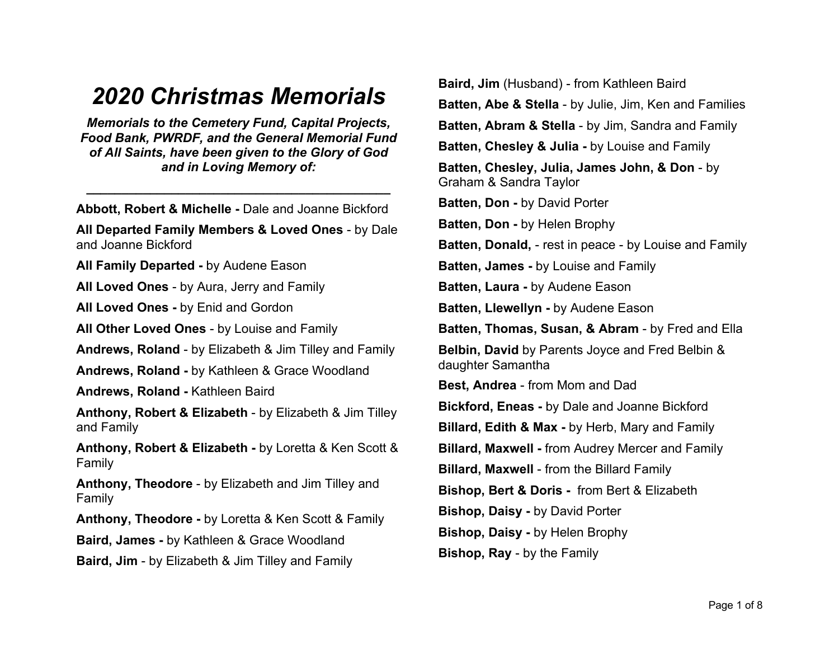## *2020 Christmas Memorials*

*Memorials to the Cemetery Fund, Capital Projects, Food Bank, PWRDF, and the General Memorial Fund of All Saints, have been given to the Glory of God and in Loving Memory of:* 

**Abbott, Robert & Michelle -** Dale and Joanne Bickford

*\_\_\_\_\_\_\_\_\_\_\_\_\_\_\_\_\_\_\_\_\_\_\_\_\_\_\_\_\_\_\_\_\_\_\_\_\_\_\_\_\_\_\_*

**All Departed Family Members & Loved Ones** - by Dale and Joanne Bickford

**All Family Departed -** by Audene Eason

**All Loved Ones** - by Aura, Jerry and Family

**All Loved Ones -** by Enid and Gordon

**All Other Loved Ones** - by Louise and Family

**Andrews, Roland** - by Elizabeth & Jim Tilley and Family

**Andrews, Roland -** by Kathleen & Grace Woodland

**Andrews, Roland -** Kathleen Baird

**Anthony, Robert & Elizabeth** - by Elizabeth & Jim Tilley and Family

**Anthony, Robert & Elizabeth -** by Loretta & Ken Scott & Family

**Anthony, Theodore** - by Elizabeth and Jim Tilley and Family

**Anthony, Theodore -** by Loretta & Ken Scott & Family

**Baird, James -** by Kathleen & Grace Woodland

**Baird, Jim** - by Elizabeth & Jim Tilley and Family

**Baird, Jim** (Husband) - from Kathleen Baird **Batten, Abe & Stella** - by Julie, Jim, Ken and Families **Batten, Abram & Stella** - by Jim, Sandra and Family **Batten, Chesley & Julia -** by Louise and Family **Batten, Chesley, Julia, James John, & Don** - by Graham & Sandra Taylor **Batten, Don -** by David Porter **Batten, Don -** by Helen Brophy **Batten, Donald,** - rest in peace - by Louise and Family **Batten, James -** by Louise and Family **Batten, Laura -** by Audene Eason **Batten, Llewellyn -** by Audene Eason **Batten, Thomas, Susan, & Abram** - by Fred and Ella **Belbin, David** by Parents Joyce and Fred Belbin & daughter Samantha **Best, Andrea** - from Mom and Dad **Bickford, Eneas -** by Dale and Joanne Bickford **Billard, Edith & Max -** by Herb, Mary and Family **Billard, Maxwell -** from Audrey Mercer and Family **Billard, Maxwell** - from the Billard Family **Bishop, Bert & Doris -** from Bert & Elizabeth **Bishop, Daisy -** by David Porter **Bishop, Daisy -** by Helen Brophy **Bishop, Ray** - by the Family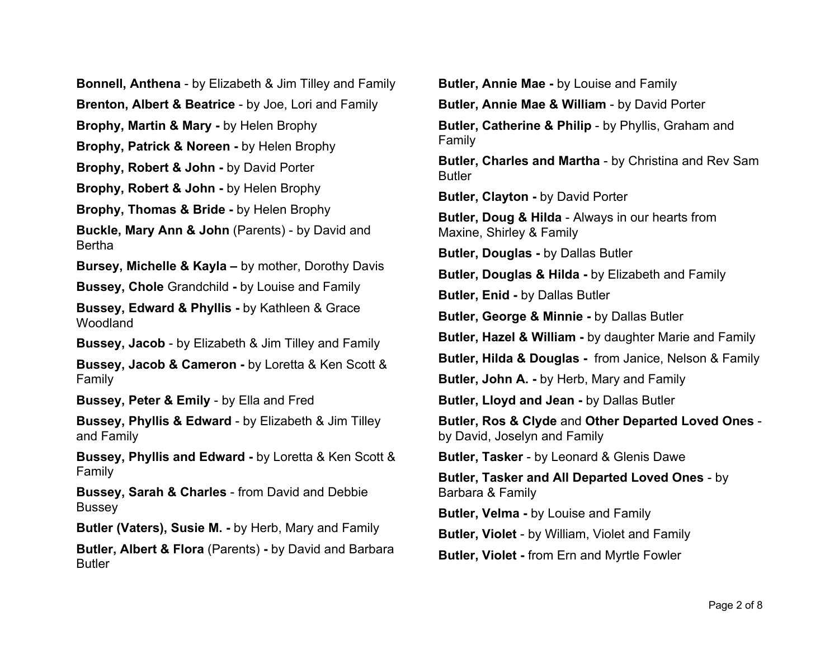**Bonnell, Anthena** - by Elizabeth & Jim Tilley and Family **Brenton, Albert & Beatrice** - by Joe, Lori and Family **Brophy, Martin & Mary -** by Helen Brophy **Brophy, Patrick & Noreen -** by Helen Brophy **Brophy, Robert & John -** by David Porter **Brophy, Robert & John -** by Helen Brophy **Brophy, Thomas & Bride -** by Helen Brophy **Buckle, Mary Ann & John** (Parents) - by David and Bertha **Bursey, Michelle & Kayla –** by mother, Dorothy Davis **Bussey, Chole** Grandchild **-** by Louise and Family **Bussey, Edward & Phyllis -** by Kathleen & Grace Woodland **Bussey, Jacob** - by Elizabeth & Jim Tilley and Family **Bussey, Jacob & Cameron -** by Loretta & Ken Scott & Family **Bussey, Peter & Emily** - by Ella and Fred **Bussey, Phyllis & Edward** - by Elizabeth & Jim Tilley and Family **Bussey, Phyllis and Edward -** by Loretta & Ken Scott & Family **Bussey, Sarah & Charles** - from David and Debbie **Bussey Butler (Vaters), Susie M. -** by Herb, Mary and Family **Butler, Albert & Flora** (Parents) **-** by David and Barbara Butler

**Butler, Annie Mae -** by Louise and Family **Butler, Annie Mae & William** - by David Porter **Butler, Catherine & Philip** - by Phyllis, Graham and Family **Butler, Charles and Martha** - by Christina and Rev Sam Butler **Butler, Clayton -** by David Porter **Butler, Doug & Hilda** - Always in our hearts from Maxine, Shirley & Family **Butler, Douglas -** by Dallas Butler **Butler, Douglas & Hilda -** by Elizabeth and Family **Butler, Enid -** by Dallas Butler **Butler, George & Minnie -** by Dallas Butler **Butler, Hazel & William -** by daughter Marie and Family **Butler, Hilda & Douglas -** from Janice, Nelson & Family **Butler, John A. -** by Herb, Mary and Family **Butler, Lloyd and Jean -** by Dallas Butler **Butler, Ros & Clyde** and **Other Departed Loved Ones**  by David, Joselyn and Family **Butler, Tasker** - by Leonard & Glenis Dawe **Butler, Tasker and All Departed Loved Ones** - by Barbara & Family **Butler, Velma -** by Louise and Family **Butler, Violet** - by William, Violet and Family **Butler, Violet -** from Ern and Myrtle Fowler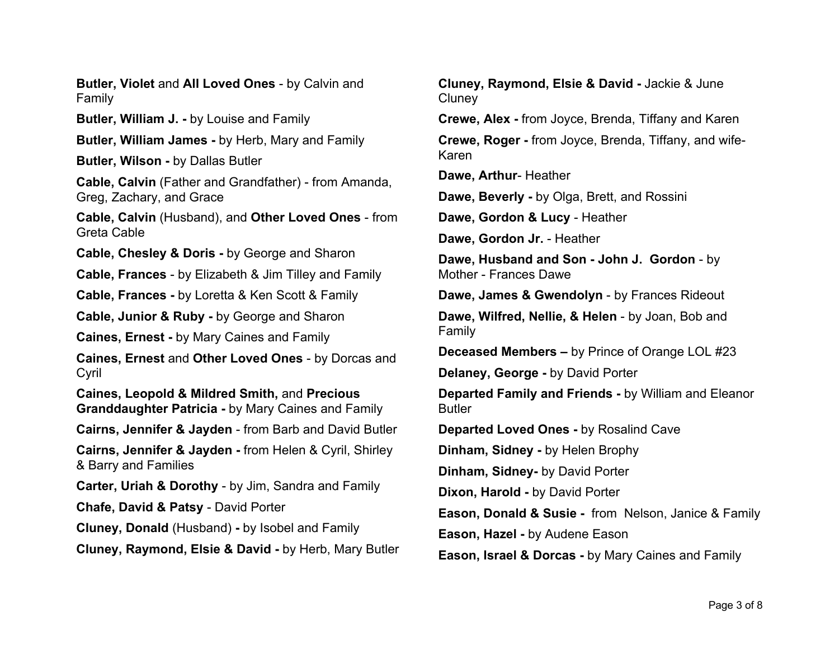**Butler, Violet** and **All Loved Ones** - by Calvin and Family

**Butler, William J. -** by Louise and Family

**Butler, William James -** by Herb, Mary and Family

**Butler, Wilson -** by Dallas Butler

**Cable, Calvin** (Father and Grandfather) - from Amanda, Greg, Zachary, and Grace

**Cable, Calvin** (Husband), and **Other Loved Ones** - from Greta Cable

**Cable, Chesley & Doris -** by George and Sharon

**Cable, Frances** - by Elizabeth & Jim Tilley and Family

**Cable, Frances -** by Loretta & Ken Scott & Family

**Cable, Junior & Ruby -** by George and Sharon

**Caines, Ernest -** by Mary Caines and Family

**Caines, Ernest** and **Other Loved Ones** - by Dorcas and Cyril

**Caines, Leopold & Mildred Smith,** and **Precious Granddaughter Patricia -** by Mary Caines and Family

**Cairns, Jennifer & Jayden** - from Barb and David Butler

**Cairns, Jennifer & Jayden -** from Helen & Cyril, Shirley & Barry and Families

**Carter, Uriah & Dorothy** - by Jim, Sandra and Family

**Chafe, David & Patsy** - David Porter

**Cluney, Donald** (Husband) **-** by Isobel and Family

**Cluney, Raymond, Elsie & David -** by Herb, Mary Butler

**Cluney, Raymond, Elsie & David -** Jackie & June **Cluney** 

**Crewe, Alex -** from Joyce, Brenda, Tiffany and Karen

**Crewe, Roger -** from Joyce, Brenda, Tiffany, and wife-Karen

**Dawe, Arthur**- Heather

**Dawe, Beverly -** by Olga, Brett, and Rossini

**Dawe, Gordon & Lucy** - Heather

**Dawe, Gordon Jr.** - Heather

**Dawe, Husband and Son - John J. Gordon** - by Mother - Frances Dawe

**Dawe, James & Gwendolyn** - by Frances Rideout

**Dawe, Wilfred, Nellie, & Helen** - by Joan, Bob and Family

**Deceased Members –** by Prince of Orange LOL #23

**Delaney, George -** by David Porter

**Departed Family and Friends -** by William and Eleanor Butler

**Departed Loved Ones -** by Rosalind Cave

**Dinham, Sidney -** by Helen Brophy

**Dinham, Sidney-** by David Porter

**Dixon, Harold -** by David Porter

**Eason, Donald & Susie -** from Nelson, Janice & Family

**Eason, Hazel -** by Audene Eason

**Eason, Israel & Dorcas -** by Mary Caines and Family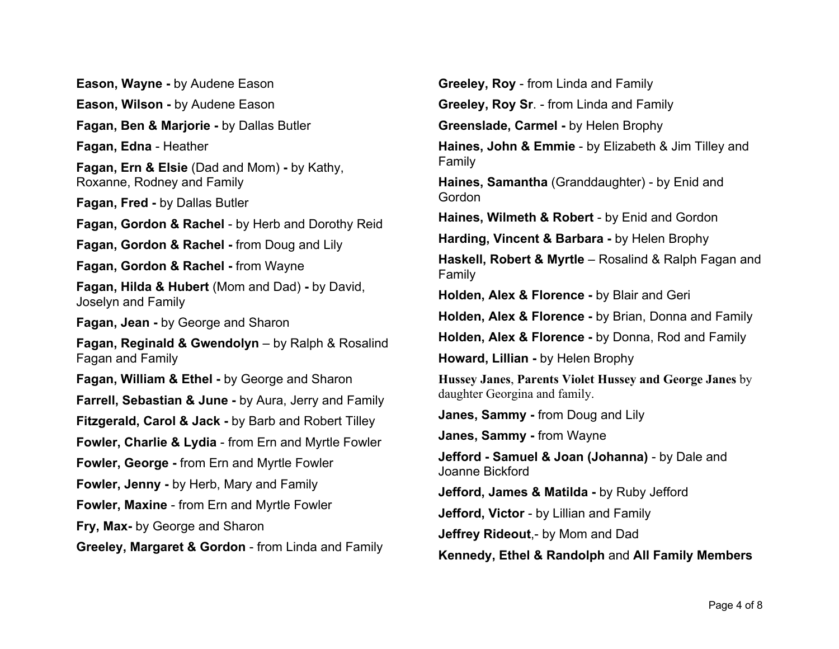**Eason, Wayne -** by Audene Eason **Eason, Wilson -** by Audene Eason **Fagan, Ben & Marjorie -** by Dallas Butler **Fagan, Edna** - Heather **Fagan, Ern & Elsie** (Dad and Mom) **-** by Kathy, Roxanne, Rodney and Family **Fagan, Fred -** by Dallas Butler **Fagan, Gordon & Rachel** - by Herb and Dorothy Reid **Fagan, Gordon & Rachel -** from Doug and Lily **Fagan, Gordon & Rachel -** from Wayne **Fagan, Hilda & Hubert** (Mom and Dad) **-** by David, Joselyn and Family **Fagan, Jean -** by George and Sharon **Fagan, Reginald & Gwendolyn** – by Ralph & Rosalind Fagan and Family **Fagan, William & Ethel -** by George and Sharon **Farrell, Sebastian & June -** by Aura, Jerry and Family **Fitzgerald, Carol & Jack -** by Barb and Robert Tilley **Fowler, Charlie & Lydia** - from Ern and Myrtle Fowler **Fowler, George -** from Ern and Myrtle Fowler **Fowler, Jenny -** by Herb, Mary and Family **Fowler, Maxine** - from Ern and Myrtle Fowler **Fry, Max-** by George and Sharon **Greeley, Margaret & Gordon** - from Linda and Family

**Greeley, Roy** - from Linda and Family **Greeley, Roy Sr**. - from Linda and Family **Greenslade, Carmel -** by Helen Brophy **Haines, John & Emmie** - by Elizabeth & Jim Tilley and Family **Haines, Samantha** (Granddaughter) - by Enid and Gordon **Haines, Wilmeth & Robert** - by Enid and Gordon **Harding, Vincent & Barbara -** by Helen Brophy **Haskell, Robert & Myrtle** – Rosalind & Ralph Fagan and Family **Holden, Alex & Florence -** by Blair and Geri **Holden, Alex & Florence -** by Brian, Donna and Family **Holden, Alex & Florence -** by Donna, Rod and Family **Howard, Lillian -** by Helen Brophy **Hussey Janes**, **Parents Violet Hussey and George Janes** by daughter Georgina and family. **Janes, Sammy -** from Doug and Lily **Janes, Sammy -** from Wayne **Jefford - Samuel & Joan (Johanna)** - by Dale and Joanne Bickford **Jefford, James & Matilda -** by Ruby Jefford **Jefford, Victor** - by Lillian and Family **Jeffrey Rideout**,- by Mom and Dad **Kennedy, Ethel & Randolph** and **All Family Members**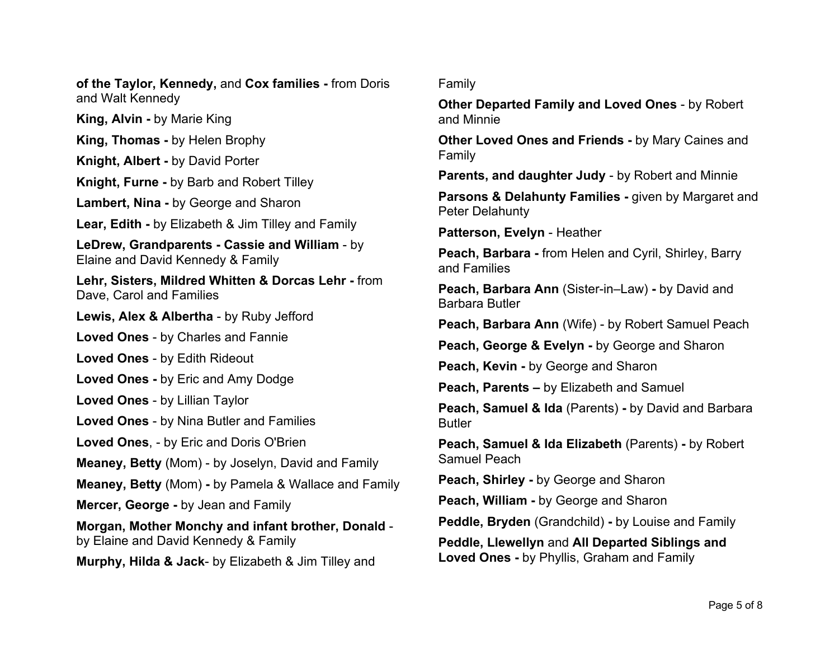**of the Taylor, Kennedy,** and **Cox families -** from Doris and Walt Kennedy

**King, Alvin -** by Marie King

**King, Thomas -** by Helen Brophy

**Knight, Albert -** by David Porter

**Knight, Furne -** by Barb and Robert Tilley

**Lambert, Nina -** by George and Sharon

**Lear, Edith -** by Elizabeth & Jim Tilley and Family

**LeDrew, Grandparents - Cassie and William** - by Elaine and David Kennedy & Family

**Lehr, Sisters, Mildred Whitten & Dorcas Lehr -** from Dave, Carol and Families

**Lewis, Alex & Albertha** - by Ruby Jefford

**Loved Ones** - by Charles and Fannie

**Loved Ones** - by Edith Rideout

**Loved Ones -** by Eric and Amy Dodge

**Loved Ones** - by Lillian Taylor

**Loved Ones** - by Nina Butler and Families

**Loved Ones**, - by Eric and Doris O'Brien

**Meaney, Betty** (Mom) - by Joselyn, David and Family

**Meaney, Betty** (Mom) **-** by Pamela & Wallace and Family

**Mercer, George -** by Jean and Family

**Morgan, Mother Monchy and infant brother, Donald**  by Elaine and David Kennedy & Family

**Murphy, Hilda & Jack**- by Elizabeth & Jim Tilley and

## Family

**Other Departed Family and Loved Ones** - by Robert and Minnie

**Other Loved Ones and Friends -** by Mary Caines and Family

**Parents, and daughter Judy** - by Robert and Minnie

**Parsons & Delahunty Families -** given by Margaret and Peter Delahunty

**Patterson, Evelyn** - Heather

**Peach, Barbara -** from Helen and Cyril, Shirley, Barry and Families

**Peach, Barbara Ann** (Sister-in–Law) **-** by David and Barbara Butler

**Peach, Barbara Ann** (Wife) - by Robert Samuel Peach

**Peach, George & Evelyn -** by George and Sharon

**Peach, Kevin -** by George and Sharon

**Peach, Parents –** by Elizabeth and Samuel

**Peach, Samuel & Ida** (Parents) **-** by David and Barbara Butler

**Peach, Samuel & Ida Elizabeth** (Parents) **-** by Robert Samuel Peach

**Peach, Shirley -** by George and Sharon

**Peach, William -** by George and Sharon

**Peddle, Bryden** (Grandchild) **-** by Louise and Family

**Peddle, Llewellyn** and **All Departed Siblings and Loved Ones -** by Phyllis, Graham and Family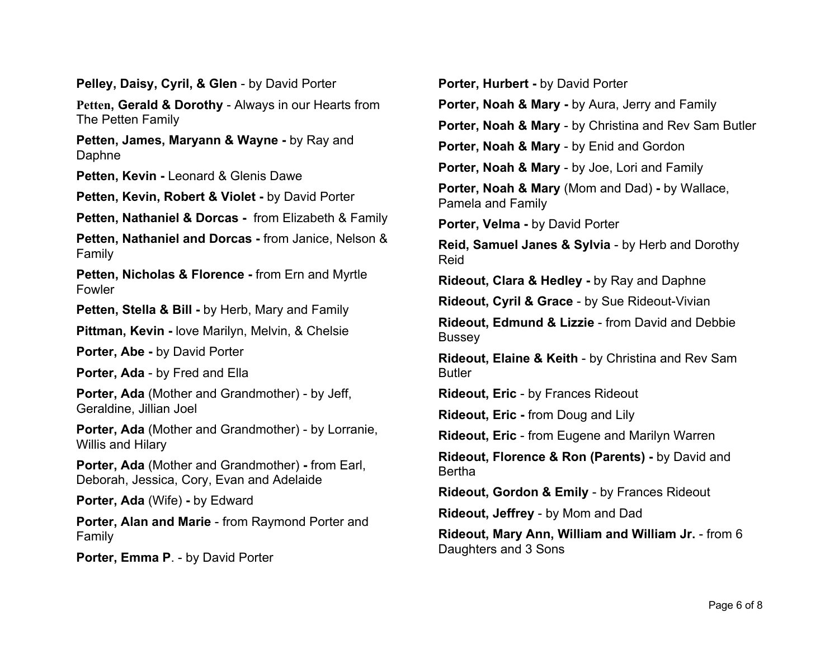**Pelley, Daisy, Cyril, & Glen** - by David Porter

**Petten, Gerald & Dorothy** - Always in our Hearts from The Petten Family

**Petten, James, Maryann & Wayne -** by Ray and Daphne

**Petten, Kevin -** Leonard & Glenis Dawe

**Petten, Kevin, Robert & Violet -** by David Porter

**Petten, Nathaniel & Dorcas -** from Elizabeth & Family

**Petten, Nathaniel and Dorcas -** from Janice, Nelson & Family

**Petten, Nicholas & Florence -** from Ern and Myrtle Fowler

**Petten, Stella & Bill -** by Herb, Mary and Family

**Pittman, Kevin -** love Marilyn, Melvin, & Chelsie

**Porter, Abe -** by David Porter

**Porter, Ada** - by Fred and Ella

**Porter, Ada** (Mother and Grandmother) - by Jeff, Geraldine, Jillian Joel

**Porter, Ada** (Mother and Grandmother) - by Lorranie, Willis and Hilary

**Porter, Ada** (Mother and Grandmother) **-** from Earl, Deborah, Jessica, Cory, Evan and Adelaide

**Porter, Ada** (Wife) **-** by Edward

**Porter, Alan and Marie** - from Raymond Porter and Family

**Porter, Emma P**. - by David Porter

**Porter, Hurbert -** by David Porter **Porter, Noah & Mary -** by Aura, Jerry and Family **Porter, Noah & Mary** - by Christina and Rev Sam Butler **Porter, Noah & Mary** - by Enid and Gordon **Porter, Noah & Mary** - by Joe, Lori and Family **Porter, Noah & Mary** (Mom and Dad) **-** by Wallace, Pamela and Family **Porter, Velma -** by David Porter **Reid, Samuel Janes & Sylvia** - by Herb and Dorothy Reid **Rideout, Clara & Hedley -** by Ray and Daphne **Rideout, Cyril & Grace** - by Sue Rideout-Vivian **Rideout, Edmund & Lizzie** - from David and Debbie **Bussey Rideout, Elaine & Keith** - by Christina and Rev Sam **Butler Rideout, Eric** - by Frances Rideout **Rideout, Eric -** from Doug and Lily **Rideout, Eric** - from Eugene and Marilyn Warren **Rideout, Florence & Ron (Parents) -** by David and Bertha **Rideout, Gordon & Emily** - by Frances Rideout **Rideout, Jeffrey** - by Mom and Dad **Rideout, Mary Ann, William and William Jr.** - from 6 Daughters and 3 Sons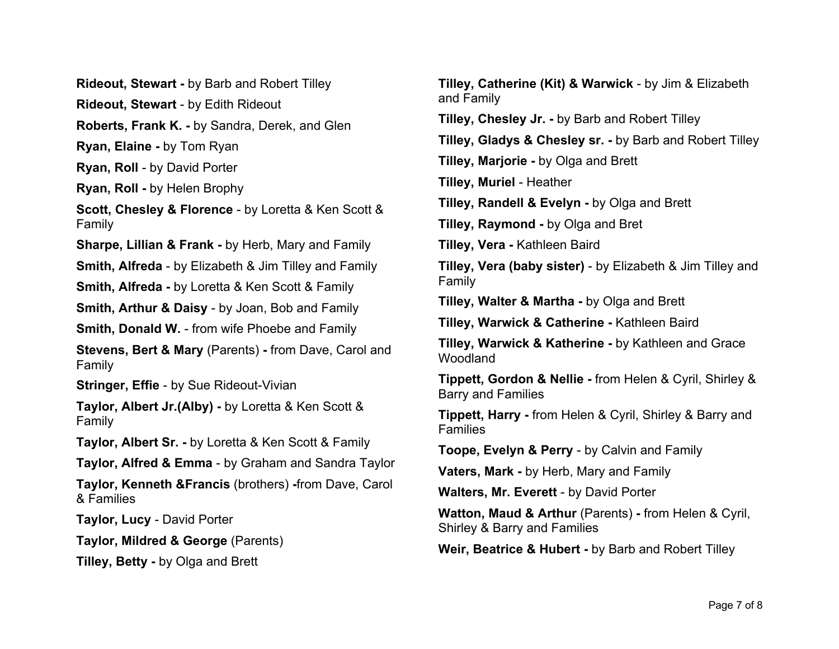**Rideout, Stewart -** by Barb and Robert Tilley

**Rideout, Stewart** - by Edith Rideout

**Roberts, Frank K. -** by Sandra, Derek, and Glen

**Ryan, Elaine -** by Tom Ryan

**Ryan, Roll** - by David Porter

**Ryan, Roll -** by Helen Brophy

**Scott, Chesley & Florence** - by Loretta & Ken Scott & Family

**Sharpe, Lillian & Frank -** by Herb, Mary and Family

**Smith, Alfreda** - by Elizabeth & Jim Tilley and Family

**Smith, Alfreda -** by Loretta & Ken Scott & Family

**Smith, Arthur & Daisy** - by Joan, Bob and Family

**Smith, Donald W.** - from wife Phoebe and Family

**Stevens, Bert & Mary** (Parents) **-** from Dave, Carol and Family

**Stringer, Effie** - by Sue Rideout-Vivian

**Taylor, Albert Jr.(Alby) -** by Loretta & Ken Scott & Family

**Taylor, Albert Sr. -** by Loretta & Ken Scott & Family

**Taylor, Alfred & Emma** - by Graham and Sandra Taylor

**Taylor, Kenneth &Francis** (brothers) **-**from Dave, Carol & Families

**Taylor, Lucy** - David Porter

**Taylor, Mildred & George** (Parents)

**Tilley, Betty -** by Olga and Brett

**Tilley, Catherine (Kit) & Warwick** - by Jim & Elizabeth and Family

**Tilley, Chesley Jr. -** by Barb and Robert Tilley

**Tilley, Gladys & Chesley sr. -** by Barb and Robert Tilley

**Tilley, Marjorie -** by Olga and Brett

**Tilley, Muriel** - Heather

**Tilley, Randell & Evelyn -** by Olga and Brett

**Tilley, Raymond -** by Olga and Bret

**Tilley, Vera -** Kathleen Baird

**Tilley, Vera (baby sister)** - by Elizabeth & Jim Tilley and Family

**Tilley, Walter & Martha -** by Olga and Brett

**Tilley, Warwick & Catherine -** Kathleen Baird

**Tilley, Warwick & Katherine -** by Kathleen and Grace Woodland

**Tippett, Gordon & Nellie -** from Helen & Cyril, Shirley & Barry and Families

**Tippett, Harry -** from Helen & Cyril, Shirley & Barry and **Families** 

**Toope, Evelyn & Perry** - by Calvin and Family

**Vaters, Mark -** by Herb, Mary and Family

**Walters, Mr. Everett** - by David Porter

**Watton, Maud & Arthur** (Parents) **-** from Helen & Cyril, Shirley & Barry and Families

**Weir, Beatrice & Hubert -** by Barb and Robert Tilley